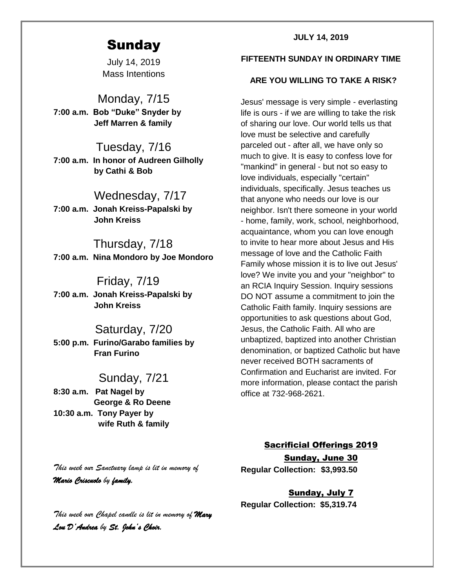# **Sunday**

July 14, 2019 Mass Intentions

Monday, 7/15 **7:00 a.m. Bob "Duke" Snyder by Jeff Marren & family**

Tuesday, 7/16 **7:00 a.m. In honor of Audreen Gilholly by Cathi & Bob**

## Wednesday, 7/17

**7:00 a.m. Jonah Kreiss-Papalski by John Kreiss**

 Thursday, 7/18 **7:00 a.m. Nina Mondoro by Joe Mondoro**

## Friday, 7/19

**7:00 a.m. Jonah Kreiss-Papalski by John Kreiss**

## Saturday, 7/20 **5:00 p.m. Furino/Garabo families by**

 **Fran Furino**

## Sunday, 7/21

**8:30 a.m. Pat Nagel by George & Ro Deene 10:30 a.m. Tony Payer by wife Ruth & family**

#### **JULY 14, 2019**

#### **FIFTEENTH SUNDAY IN ORDINARY TIME**

#### **ARE YOU WILLING TO TAKE A RISK?**

Jesus' message is very simple - everlasting life is ours - if we are willing to take the risk of sharing our love. Our world tells us that love must be selective and carefully parceled out - after all, we have only so much to give. It is easy to confess love for "mankind" in general - but not so easy to love individuals, especially "certain" individuals, specifically. Jesus teaches us that anyone who needs our love is our neighbor. Isn't there someone in your world - home, family, work, school, neighborhood, acquaintance, whom you can love enough to invite to hear more about Jesus and His message of love and the Catholic Faith Family whose mission it is to live out Jesus' love? We invite you and your "neighbor" to an RCIA Inquiry Session. Inquiry sessions DO NOT assume a commitment to join the Catholic Faith family. Inquiry sessions are opportunities to ask questions about God, Jesus, the Catholic Faith. All who are unbaptized, baptized into another Christian denomination, or baptized Catholic but have never received BOTH sacraments of Confirmation and Eucharist are invited. For more information, please contact the parish office at 732-968-2621.

#### Sacrificial Offerings 2019

Sunday, June 30 **Regular Collection: \$3,993.50**

Sunday, July 7 **Regular Collection: \$5,319.74**

*This week our Sanctuary lamp is lit in memory of Mario Criscuolo by family.* 

*This week our Chapel candle is lit in memory of Mary Lou D'Andrea by St. John's Choir.*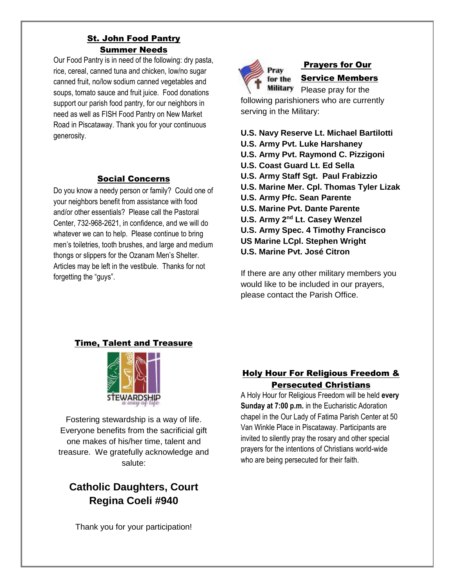## St. John Food Pantry Summer Needs

Our Food Pantry is in need of the following: dry pasta, rice, cereal, canned tuna and chicken, low/no sugar canned fruit, no/low sodium canned vegetables and soups, tomato sauce and fruit juice. Food donations support our parish food pantry, for our neighbors in need as well as FISH Food Pantry on New Market Road in Piscataway. Thank you for your continuous generosity.

## Social Concerns

Do you know a needy person or family? Could one of your neighbors benefit from assistance with food and/or other essentials? Please call the Pastoral Center, 732-968-2621, in confidence, and we will do whatever we can to help. Please continue to bring men's toiletries, tooth brushes, and large and medium thongs or slippers for the Ozanam Men's Shelter. Articles may be left in the vestibule. Thanks for not forgetting the "guys".



## Prayers for Our Service Members

Military Please pray for the following parishioners who are currently serving in the Military:

## **U.S. Navy Reserve Lt. Michael Bartilotti**

- **U.S. Army Pvt. Luke Harshaney**
- **U.S. Army Pvt. Raymond C. Pizzigoni**
- **U.S. Coast Guard Lt. Ed Sella**
- **U.S. Army Staff Sgt. Paul Frabizzio**
- **U.S. Marine Mer. Cpl. Thomas Tyler Lizak**
- **U.S. Army Pfc. Sean Parente**
- **U.S. Marine Pvt. Dante Parente**
- **U.S. Army 2<sup>nd</sup> Lt. Casey Wenzel**
- **U.S. Army Spec. 4 Timothy Francisco US Marine LCpl. Stephen Wright**
- **U.S. Marine Pvt. José Citron**

If there are any other military members you would like to be included in our prayers, please contact the Parish Office.

## Time, Talent and Treasure



Fostering stewardship is a way of life. Everyone benefits from the sacrificial gift one makes of his/her time, talent and treasure. We gratefully acknowledge and salute:

## **Catholic Daughters, Court Regina Coeli #940**

Thank you for your participation!

## Holy Hour For Religious Freedom & Persecuted Christians

A Holy Hour for Religious Freedom will be held **every Sunday at 7:00 p.m.** in the Eucharistic Adoration chapel in the Our Lady of Fatima Parish Center at 50 Van Winkle Place in Piscataway. Participants are invited to silently pray the rosary and other special prayers for the intentions of Christians world-wide who are being persecuted for their faith.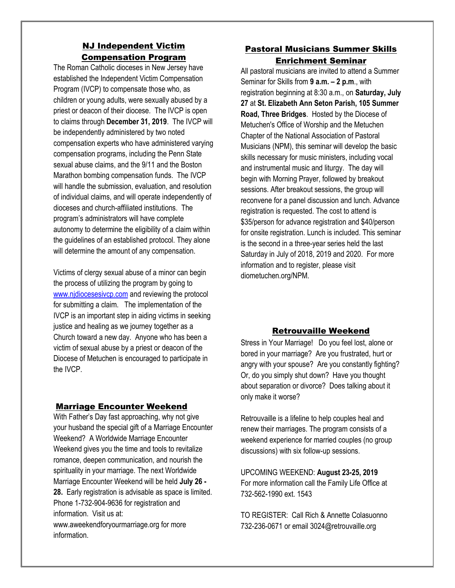#### NJ Independent Victim Compensation Program

The Roman Catholic dioceses in New Jersey have established the Independent Victim Compensation Program (IVCP) to compensate those who, as children or young adults, were sexually abused by a priest or deacon of their diocese. The IVCP is open to claims through **December 31, 2019**. The IVCP will be independently administered by two noted compensation experts who have administered varying compensation programs, including the Penn State sexual abuse claims, and the 9/11 and the Boston Marathon bombing compensation funds. The IVCP will handle the submission, evaluation, and resolution of individual claims, and will operate independently of dioceses and church-affiliated institutions. The program's administrators will have complete autonomy to determine the eligibility of a claim within the guidelines of an established protocol. They alone will determine the amount of any compensation.

Victims of clergy sexual abuse of a minor can begin the process of utilizing the program by going to [www.njdiocesesivcp.com](http://www.njdiocesesivcp.com/) and reviewing the protocol for submitting a claim. The implementation of the IVCP is an important step in aiding victims in seeking justice and healing as we journey together as a Church toward a new day. Anyone who has been a victim of sexual abuse by a priest or deacon of the Diocese of Metuchen is encouraged to participate in the IVCP.

#### Marriage Encounter Weekend

With Father's Day fast approaching, why not give your husband the special gift of a Marriage Encounter Weekend? A Worldwide Marriage Encounter Weekend gives you the time and tools to revitalize romance, deepen communication, and nourish the spirituality in your marriage. The next Worldwide Marriage Encounter Weekend will be held **July 26 - 28.** Early registration is advisable as space is limited. Phone 1-732-904-9636 for registration and information. Visit us at: www.aweekendforyourmarriage.org for more information.

#### Pastoral Musicians Summer Skills Enrichment Seminar

All pastoral musicians are invited to attend a Summer Seminar for Skills from **9 a.m. – 2 p.m**., with registration beginning at 8:30 a.m., on **Saturday, July 27** at **St. Elizabeth Ann Seton Parish, 105 Summer Road, Three Bridges**. Hosted by the Diocese of Metuchen's Office of Worship and the Metuchen Chapter of the National Association of Pastoral Musicians (NPM), this seminar will develop the basic skills necessary for music ministers, including vocal and instrumental music and liturgy. The day will begin with Morning Prayer, followed by breakout sessions. After breakout sessions, the group will reconvene for a panel discussion and lunch. Advance registration is requested. The cost to attend is \$35/person for advance registration and \$40/person for onsite registration. Lunch is included. This seminar is the second in a three-year series held the last Saturday in July of 2018, 2019 and 2020. For more information and to register, please visit diometuchen.org/NPM.

#### Retrouvaille Weekend

Stress in Your Marriage! Do you feel lost, alone or bored in your marriage? Are you frustrated, hurt or angry with your spouse? Are you constantly fighting? Or, do you simply shut down? Have you thought about separation or divorce? Does talking about it only make it worse?

Retrouvaille is a lifeline to help couples heal and renew their marriages. The program consists of a weekend experience for married couples (no group discussions) with six follow-up sessions.

UPCOMING WEEKEND: **August 23-25, 2019** For more information call the Family Life Office at 732-562-1990 ext. 1543

TO REGISTER: Call Rich & Annette Colasuonno 732-236-0671 or email 3024@retrouvaille.org